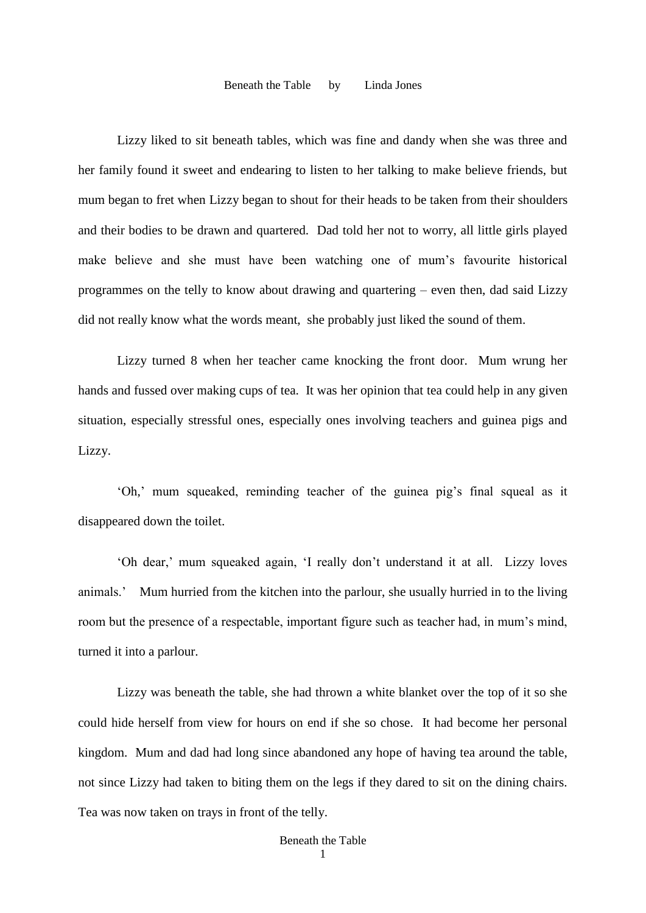Lizzy liked to sit beneath tables, which was fine and dandy when she was three and her family found it sweet and endearing to listen to her talking to make believe friends, but mum began to fret when Lizzy began to shout for their heads to be taken from their shoulders and their bodies to be drawn and quartered. Dad told her not to worry, all little girls played make believe and she must have been watching one of mum's favourite historical programmes on the telly to know about drawing and quartering – even then, dad said Lizzy did not really know what the words meant, she probably just liked the sound of them.

Lizzy turned 8 when her teacher came knocking the front door. Mum wrung her hands and fussed over making cups of tea. It was her opinion that tea could help in any given situation, especially stressful ones, especially ones involving teachers and guinea pigs and Lizzy.

'Oh,' mum squeaked, reminding teacher of the guinea pig's final squeal as it disappeared down the toilet.

'Oh dear,' mum squeaked again, 'I really don't understand it at all. Lizzy loves animals.' Mum hurried from the kitchen into the parlour, she usually hurried in to the living room but the presence of a respectable, important figure such as teacher had, in mum's mind, turned it into a parlour.

 Lizzy was beneath the table, she had thrown a white blanket over the top of it so she could hide herself from view for hours on end if she so chose. It had become her personal kingdom. Mum and dad had long since abandoned any hope of having tea around the table, not since Lizzy had taken to biting them on the legs if they dared to sit on the dining chairs. Tea was now taken on trays in front of the telly.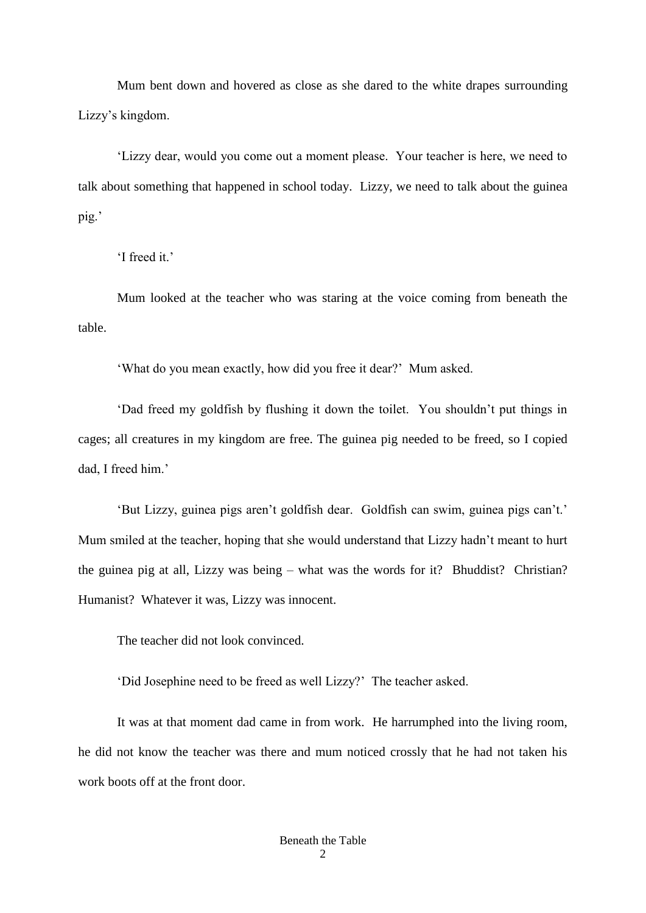Mum bent down and hovered as close as she dared to the white drapes surrounding Lizzy's kingdom.

'Lizzy dear, would you come out a moment please. Your teacher is here, we need to talk about something that happened in school today. Lizzy, we need to talk about the guinea pig.'

'I freed it.'

Mum looked at the teacher who was staring at the voice coming from beneath the table.

'What do you mean exactly, how did you free it dear?' Mum asked.

'Dad freed my goldfish by flushing it down the toilet. You shouldn't put things in cages; all creatures in my kingdom are free. The guinea pig needed to be freed, so I copied dad, I freed him.'

'But Lizzy, guinea pigs aren't goldfish dear. Goldfish can swim, guinea pigs can't.' Mum smiled at the teacher, hoping that she would understand that Lizzy hadn't meant to hurt the guinea pig at all, Lizzy was being – what was the words for it? Bhuddist? Christian? Humanist? Whatever it was, Lizzy was innocent.

The teacher did not look convinced.

'Did Josephine need to be freed as well Lizzy?' The teacher asked.

It was at that moment dad came in from work. He harrumphed into the living room, he did not know the teacher was there and mum noticed crossly that he had not taken his work boots off at the front door.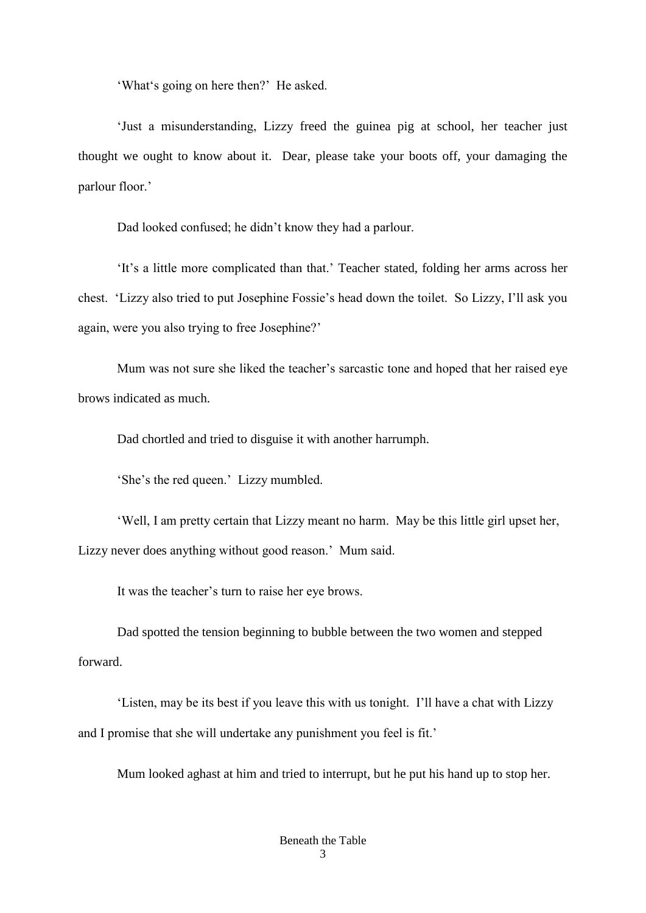'What's going on here then?' He asked.

'Just a misunderstanding, Lizzy freed the guinea pig at school, her teacher just thought we ought to know about it. Dear, please take your boots off, your damaging the parlour floor.'

Dad looked confused; he didn't know they had a parlour.

'It's a little more complicated than that.' Teacher stated, folding her arms across her chest. 'Lizzy also tried to put Josephine Fossie's head down the toilet. So Lizzy, I'll ask you again, were you also trying to free Josephine?'

Mum was not sure she liked the teacher's sarcastic tone and hoped that her raised eye brows indicated as much.

Dad chortled and tried to disguise it with another harrumph.

'She's the red queen.' Lizzy mumbled.

'Well, I am pretty certain that Lizzy meant no harm. May be this little girl upset her, Lizzy never does anything without good reason.' Mum said.

It was the teacher's turn to raise her eye brows.

Dad spotted the tension beginning to bubble between the two women and stepped forward.

'Listen, may be its best if you leave this with us tonight. I'll have a chat with Lizzy and I promise that she will undertake any punishment you feel is fit.'

Mum looked aghast at him and tried to interrupt, but he put his hand up to stop her.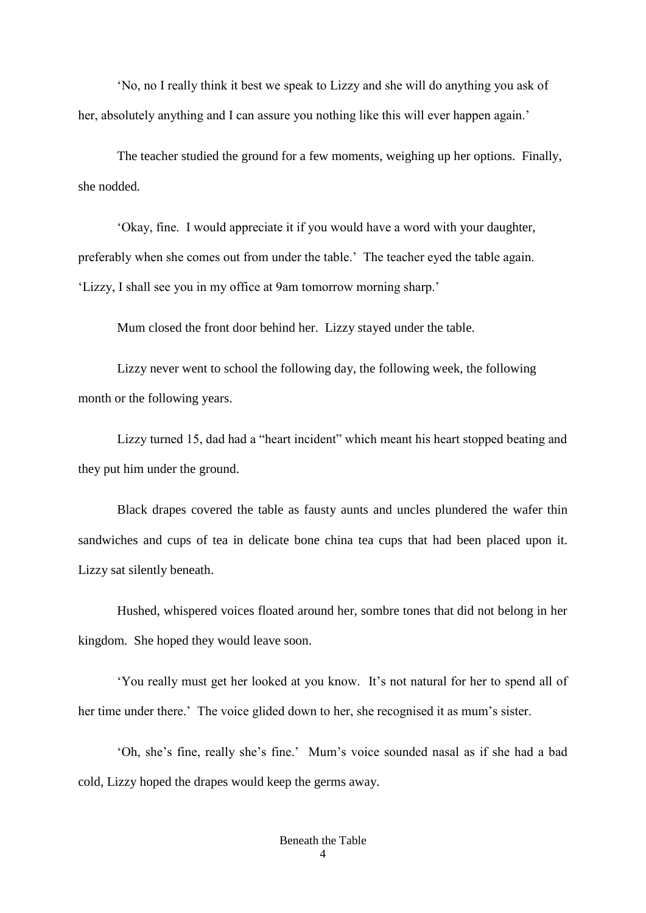'No, no I really think it best we speak to Lizzy and she will do anything you ask of her, absolutely anything and I can assure you nothing like this will ever happen again.'

The teacher studied the ground for a few moments, weighing up her options. Finally, she nodded.

'Okay, fine. I would appreciate it if you would have a word with your daughter, preferably when she comes out from under the table.' The teacher eyed the table again. 'Lizzy, I shall see you in my office at 9am tomorrow morning sharp.'

Mum closed the front door behind her. Lizzy stayed under the table.

Lizzy never went to school the following day, the following week, the following month or the following years.

Lizzy turned 15, dad had a "heart incident" which meant his heart stopped beating and they put him under the ground.

Black drapes covered the table as fausty aunts and uncles plundered the wafer thin sandwiches and cups of tea in delicate bone china tea cups that had been placed upon it. Lizzy sat silently beneath.

Hushed, whispered voices floated around her, sombre tones that did not belong in her kingdom. She hoped they would leave soon.

'You really must get her looked at you know. It's not natural for her to spend all of her time under there.' The voice glided down to her, she recognised it as mum's sister.

'Oh, she's fine, really she's fine.' Mum's voice sounded nasal as if she had a bad cold, Lizzy hoped the drapes would keep the germs away.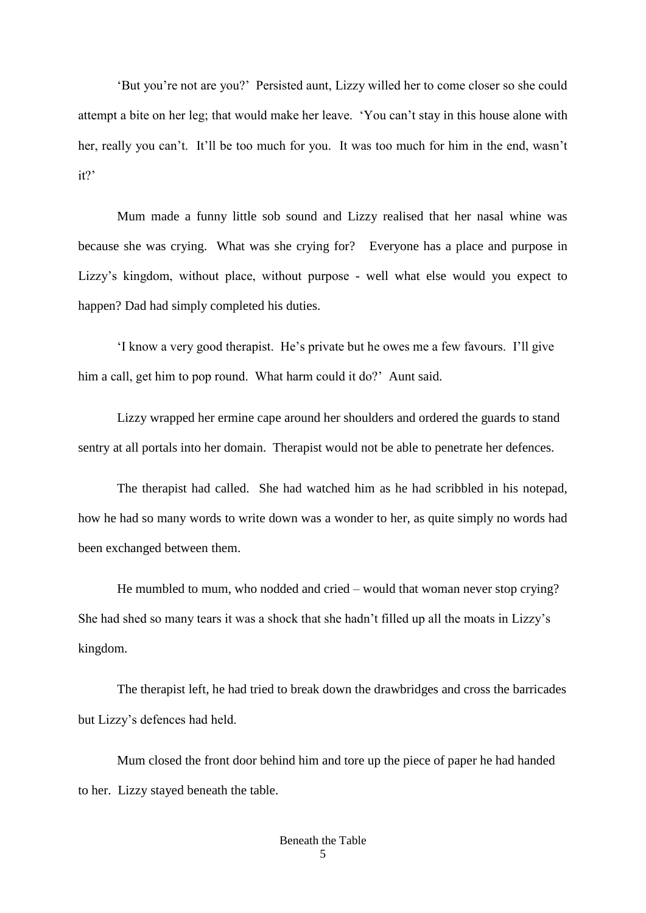'But you're not are you?' Persisted aunt, Lizzy willed her to come closer so she could attempt a bite on her leg; that would make her leave. 'You can't stay in this house alone with her, really you can't. It'll be too much for you. It was too much for him in the end, wasn't it?'

Mum made a funny little sob sound and Lizzy realised that her nasal whine was because she was crying. What was she crying for? Everyone has a place and purpose in Lizzy's kingdom, without place, without purpose - well what else would you expect to happen? Dad had simply completed his duties.

'I know a very good therapist. He's private but he owes me a few favours. I'll give him a call, get him to pop round. What harm could it do?' Aunt said.

Lizzy wrapped her ermine cape around her shoulders and ordered the guards to stand sentry at all portals into her domain. Therapist would not be able to penetrate her defences.

The therapist had called. She had watched him as he had scribbled in his notepad, how he had so many words to write down was a wonder to her, as quite simply no words had been exchanged between them.

He mumbled to mum, who nodded and cried – would that woman never stop crying? She had shed so many tears it was a shock that she hadn't filled up all the moats in Lizzy's kingdom.

The therapist left, he had tried to break down the drawbridges and cross the barricades but Lizzy's defences had held.

Mum closed the front door behind him and tore up the piece of paper he had handed to her. Lizzy stayed beneath the table.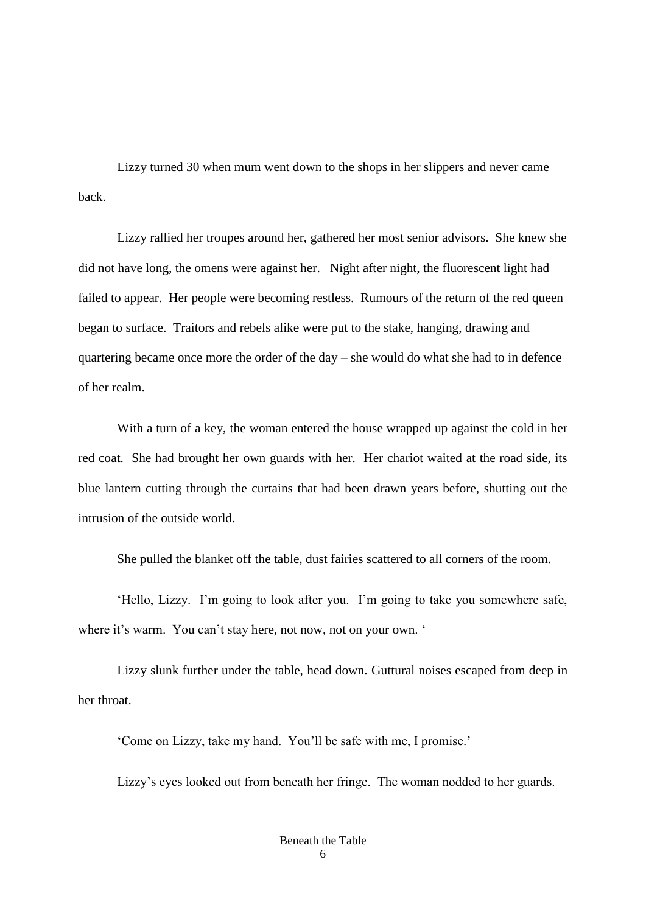Lizzy turned 30 when mum went down to the shops in her slippers and never came back.

Lizzy rallied her troupes around her, gathered her most senior advisors. She knew she did not have long, the omens were against her. Night after night, the fluorescent light had failed to appear. Her people were becoming restless. Rumours of the return of the red queen began to surface. Traitors and rebels alike were put to the stake, hanging, drawing and quartering became once more the order of the day – she would do what she had to in defence of her realm.

With a turn of a key, the woman entered the house wrapped up against the cold in her red coat. She had brought her own guards with her. Her chariot waited at the road side, its blue lantern cutting through the curtains that had been drawn years before, shutting out the intrusion of the outside world.

She pulled the blanket off the table, dust fairies scattered to all corners of the room.

'Hello, Lizzy. I'm going to look after you. I'm going to take you somewhere safe, where it's warm. You can't stay here, not now, not on your own. '

Lizzy slunk further under the table, head down. Guttural noises escaped from deep in her throat.

'Come on Lizzy, take my hand. You'll be safe with me, I promise.'

Lizzy's eyes looked out from beneath her fringe. The woman nodded to her guards.